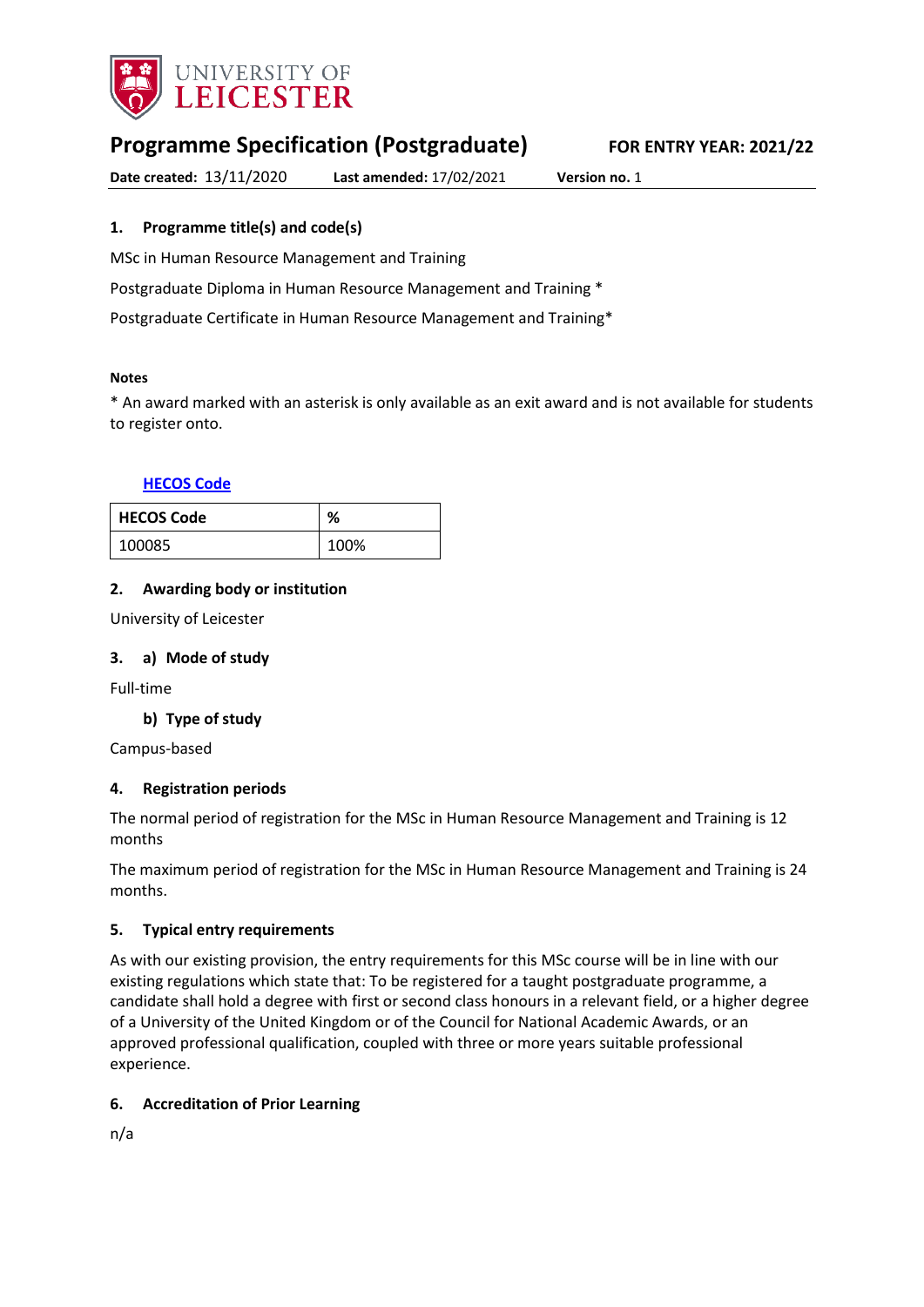

# **Programme Specification (Postgraduate) FOR ENTRY YEAR: 2021/22**

**Date created:** 13/11/2020 **Last amended:** 17/02/2021 **Version no.** 1

### <span id="page-0-0"></span>**1. Programme title(s) and code(s)**

MSc in Human Resource Management and Training

Postgraduate Diploma in Human Resource Management and Training \*

Postgraduate Certificate in Human Resource Management and Training\*

#### **Notes**

\* An award marked with an asterisk is only available as an exit award and is not available for students to register onto.

### **[HECOS Code](https://www.hesa.ac.uk/innovation/hecos)**

| <b>HECOS Code</b> | ℅    |
|-------------------|------|
| 100085            | 100% |

### **2. Awarding body or institution**

University of Leicester

### **3. a) Mode of study**

Full-time

### **b) Type of study**

Campus-based

### **4. Registration periods**

The normal period of registration for the MSc in Human Resource Management and Training is 12 months

The maximum period of registration for the MSc in Human Resource Management and Training is 24 months.

### **5. Typical entry requirements**

As with our existing provision, the entry requirements for this MSc course will be in line with our existing regulations which state that: To be registered for a taught postgraduate programme, a candidate shall hold a degree with first or second class honours in a relevant field, or a higher degree of a University of the United Kingdom or of the Council for National Academic Awards, or an approved professional qualification, coupled with three or more years suitable professional experience.

### **6. Accreditation of Prior Learning**

n/a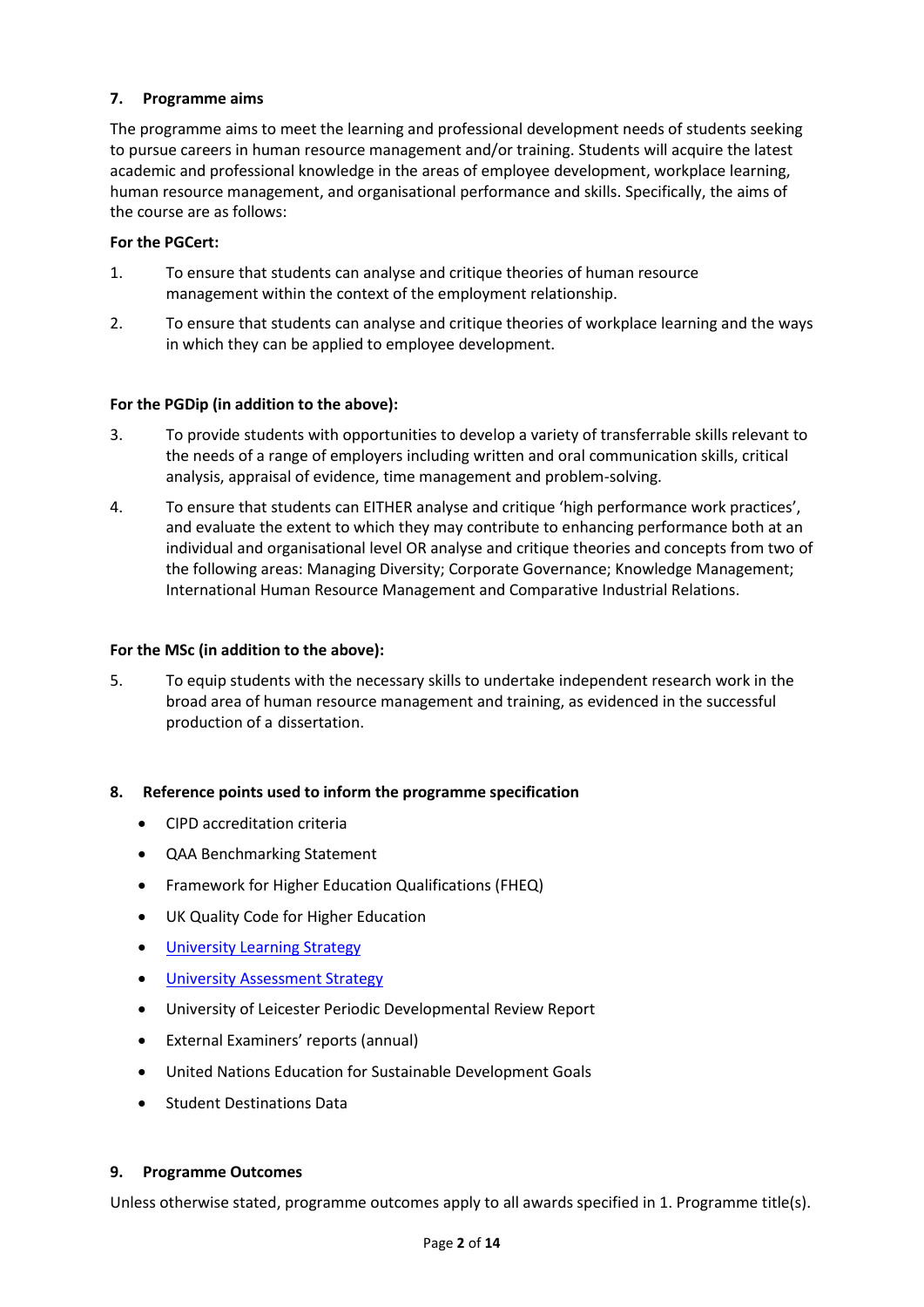### **7. Programme aims**

The programme aims to meet the learning and professional development needs of students seeking to pursue careers in human resource management and/or training. Students will acquire the latest academic and professional knowledge in the areas of employee development, workplace learning, human resource management, and organisational performance and skills. Specifically, the aims of the course are as follows:

### **For the PGCert:**

- 1. To ensure that students can analyse and critique theories of human resource management within the context of the employment relationship.
- 2. To ensure that students can analyse and critique theories of workplace learning and the ways in which they can be applied to employee development.

### **For the PGDip (in addition to the above):**

- 3. To provide students with opportunities to develop a variety of transferrable skills relevant to the needs of a range of employers including written and oral communication skills, critical analysis, appraisal of evidence, time management and problem-solving.
- 4. To ensure that students can EITHER analyse and critique 'high performance work practices', and evaluate the extent to which they may contribute to enhancing performance both at an individual and organisational level OR analyse and critique theories and concepts from two of the following areas: Managing Diversity; Corporate Governance; Knowledge Management; International Human Resource Management and Comparative Industrial Relations.

### **For the MSc (in addition to the above):**

5. To equip students with the necessary skills to undertake independent research work in the broad area of human resource management and training, as evidenced in the successful production of a dissertation.

### **8. Reference points used to inform the programme specification**

- CIPD accreditation criteria
- QAA Benchmarking Statement
- Framework for Higher Education Qualifications (FHEQ)
- UK Quality Code for Higher Education
- **•** [University Learning](https://www2.le.ac.uk/offices/sas2/quality/learnteach) Strategy
- **[University Assessment Strategy](https://www2.le.ac.uk/offices/sas2/quality/learnteach)**
- University of Leicester Periodic Developmental Review Report
- External Examiners' reports (annual)
- United Nations Education for Sustainable Development Goals
- Student Destinations Data

### **9. Programme Outcomes**

Unless otherwise stated, programme outcomes apply to all awards specified in [1.](#page-0-0) Programme title(s).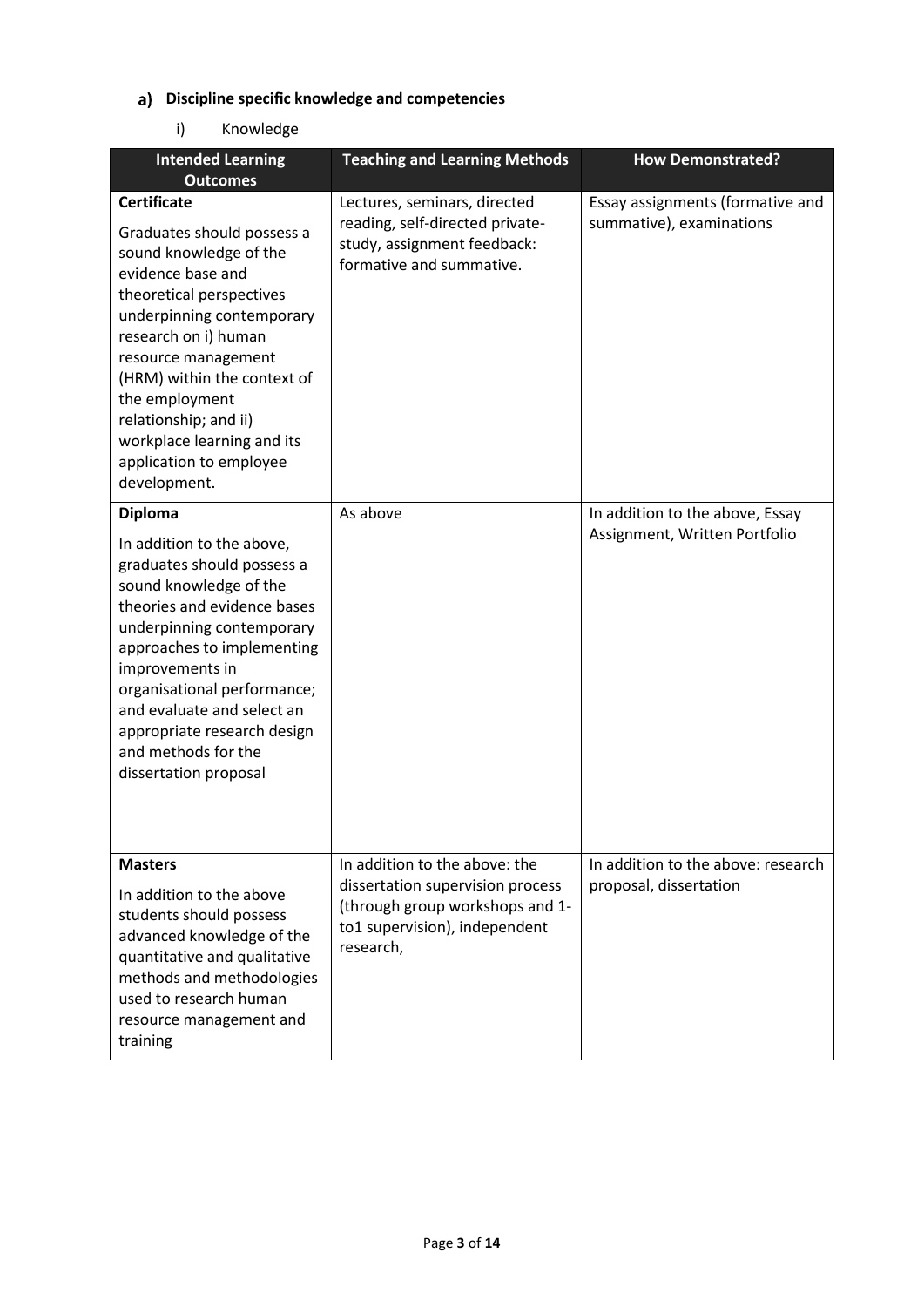## **Discipline specific knowledge and competencies**

## i) Knowledge

| <b>Intended Learning</b><br><b>Outcomes</b>                                                                                                                                                                                                                                                                                                                  | <b>Teaching and Learning Methods</b>                                                                                                               | <b>How Demonstrated?</b>                                         |
|--------------------------------------------------------------------------------------------------------------------------------------------------------------------------------------------------------------------------------------------------------------------------------------------------------------------------------------------------------------|----------------------------------------------------------------------------------------------------------------------------------------------------|------------------------------------------------------------------|
| <b>Certificate</b><br>Graduates should possess a<br>sound knowledge of the<br>evidence base and<br>theoretical perspectives<br>underpinning contemporary<br>research on i) human<br>resource management<br>(HRM) within the context of<br>the employment<br>relationship; and ii)<br>workplace learning and its<br>application to employee<br>development.   | Lectures, seminars, directed<br>reading, self-directed private-<br>study, assignment feedback:<br>formative and summative.                         | Essay assignments (formative and<br>summative), examinations     |
| <b>Diploma</b><br>In addition to the above,<br>graduates should possess a<br>sound knowledge of the<br>theories and evidence bases<br>underpinning contemporary<br>approaches to implementing<br>improvements in<br>organisational performance;<br>and evaluate and select an<br>appropriate research design<br>and methods for the<br>dissertation proposal | As above                                                                                                                                           | In addition to the above, Essay<br>Assignment, Written Portfolio |
| <b>Masters</b><br>In addition to the above<br>students should possess<br>advanced knowledge of the<br>quantitative and qualitative<br>methods and methodologies<br>used to research human<br>resource management and<br>training                                                                                                                             | In addition to the above: the<br>dissertation supervision process<br>(through group workshops and 1-<br>to1 supervision), independent<br>research, | In addition to the above: research<br>proposal, dissertation     |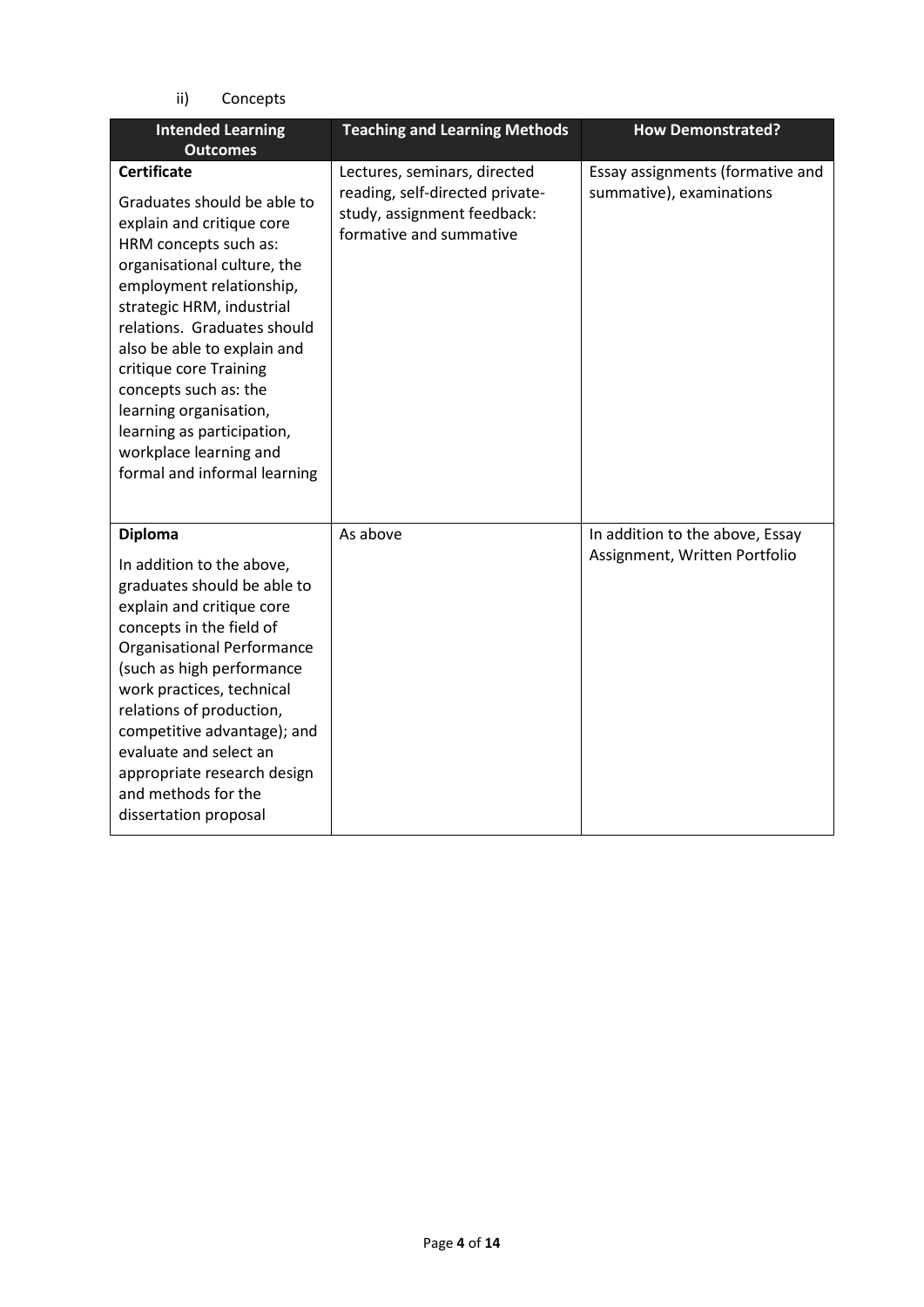ii) Concepts

| <b>Intended Learning</b><br><b>Outcomes</b>                                                                                                                                                                                                                                                                                                                                                                                        | <b>Teaching and Learning Methods</b>                                                                                      | <b>How Demonstrated?</b>                                         |
|------------------------------------------------------------------------------------------------------------------------------------------------------------------------------------------------------------------------------------------------------------------------------------------------------------------------------------------------------------------------------------------------------------------------------------|---------------------------------------------------------------------------------------------------------------------------|------------------------------------------------------------------|
| <b>Certificate</b><br>Graduates should be able to<br>explain and critique core<br>HRM concepts such as:<br>organisational culture, the<br>employment relationship,<br>strategic HRM, industrial<br>relations. Graduates should<br>also be able to explain and<br>critique core Training<br>concepts such as: the<br>learning organisation,<br>learning as participation,<br>workplace learning and<br>formal and informal learning | Lectures, seminars, directed<br>reading, self-directed private-<br>study, assignment feedback:<br>formative and summative | Essay assignments (formative and<br>summative), examinations     |
| <b>Diploma</b><br>In addition to the above,<br>graduates should be able to<br>explain and critique core<br>concepts in the field of<br><b>Organisational Performance</b><br>(such as high performance<br>work practices, technical<br>relations of production,<br>competitive advantage); and<br>evaluate and select an<br>appropriate research design<br>and methods for the<br>dissertation proposal                             | As above                                                                                                                  | In addition to the above, Essay<br>Assignment, Written Portfolio |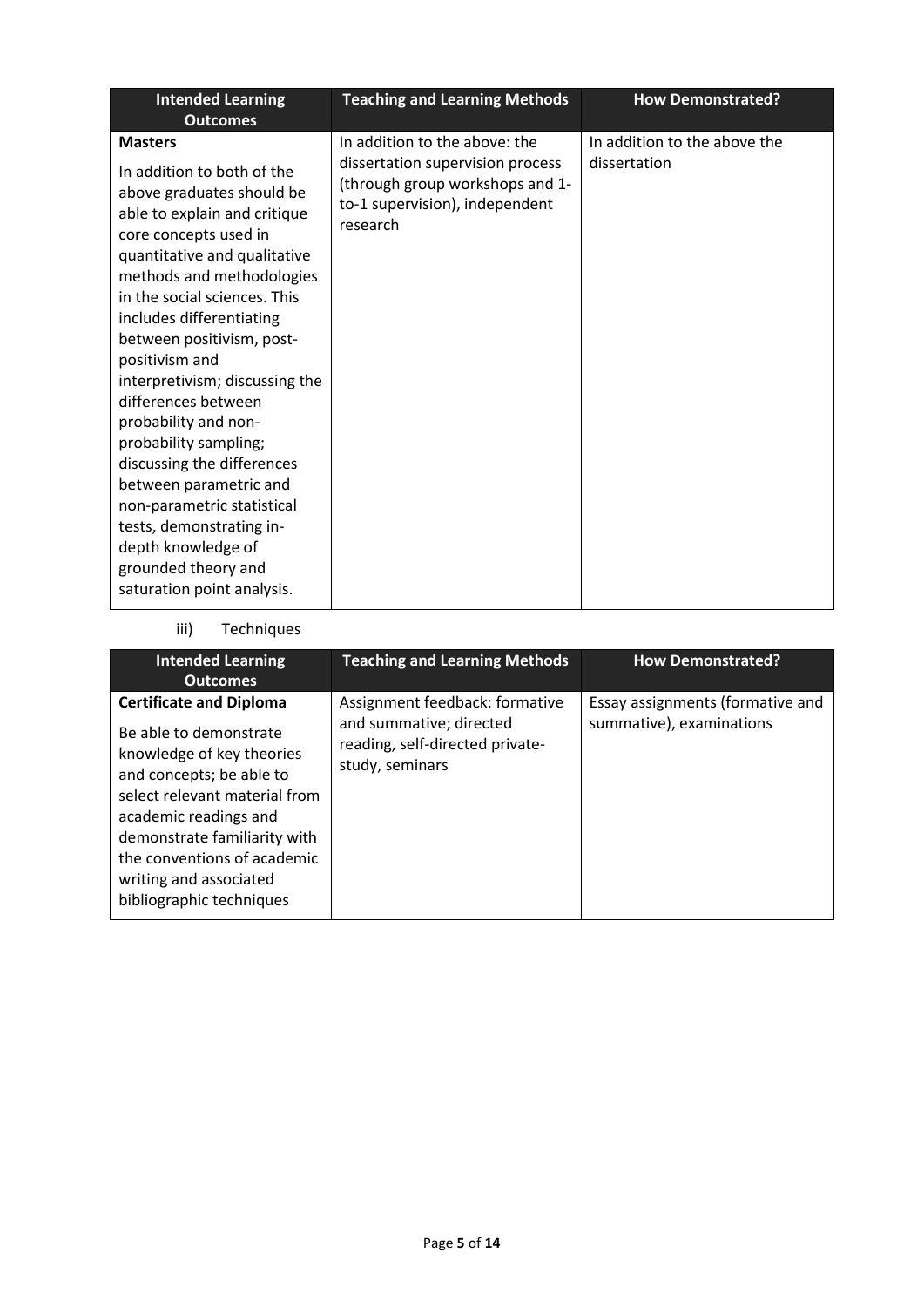| <b>Intended Learning</b><br><b>Outcomes</b>                                                                                                                                                                                                                                                                                                                                                                                                                                                                                                                                                                       | <b>Teaching and Learning Methods</b>                                                                                                               | <b>How Demonstrated?</b>                     |
|-------------------------------------------------------------------------------------------------------------------------------------------------------------------------------------------------------------------------------------------------------------------------------------------------------------------------------------------------------------------------------------------------------------------------------------------------------------------------------------------------------------------------------------------------------------------------------------------------------------------|----------------------------------------------------------------------------------------------------------------------------------------------------|----------------------------------------------|
| <b>Masters</b><br>In addition to both of the<br>above graduates should be<br>able to explain and critique<br>core concepts used in<br>quantitative and qualitative<br>methods and methodologies<br>in the social sciences. This<br>includes differentiating<br>between positivism, post-<br>positivism and<br>interpretivism; discussing the<br>differences between<br>probability and non-<br>probability sampling;<br>discussing the differences<br>between parametric and<br>non-parametric statistical<br>tests, demonstrating in-<br>depth knowledge of<br>grounded theory and<br>saturation point analysis. | In addition to the above: the<br>dissertation supervision process<br>(through group workshops and 1-<br>to-1 supervision), independent<br>research | In addition to the above the<br>dissertation |

## iii) Techniques

| <b>Intended Learning</b><br><b>Outcomes</b>                                                                                                                                                                                                                                                      | <b>Teaching and Learning Methods</b>                                                                            | <b>How Demonstrated?</b>                                     |
|--------------------------------------------------------------------------------------------------------------------------------------------------------------------------------------------------------------------------------------------------------------------------------------------------|-----------------------------------------------------------------------------------------------------------------|--------------------------------------------------------------|
| <b>Certificate and Diploma</b><br>Be able to demonstrate<br>knowledge of key theories<br>and concepts; be able to<br>select relevant material from<br>academic readings and<br>demonstrate familiarity with<br>the conventions of academic<br>writing and associated<br>bibliographic techniques | Assignment feedback: formative<br>and summative; directed<br>reading, self-directed private-<br>study, seminars | Essay assignments (formative and<br>summative), examinations |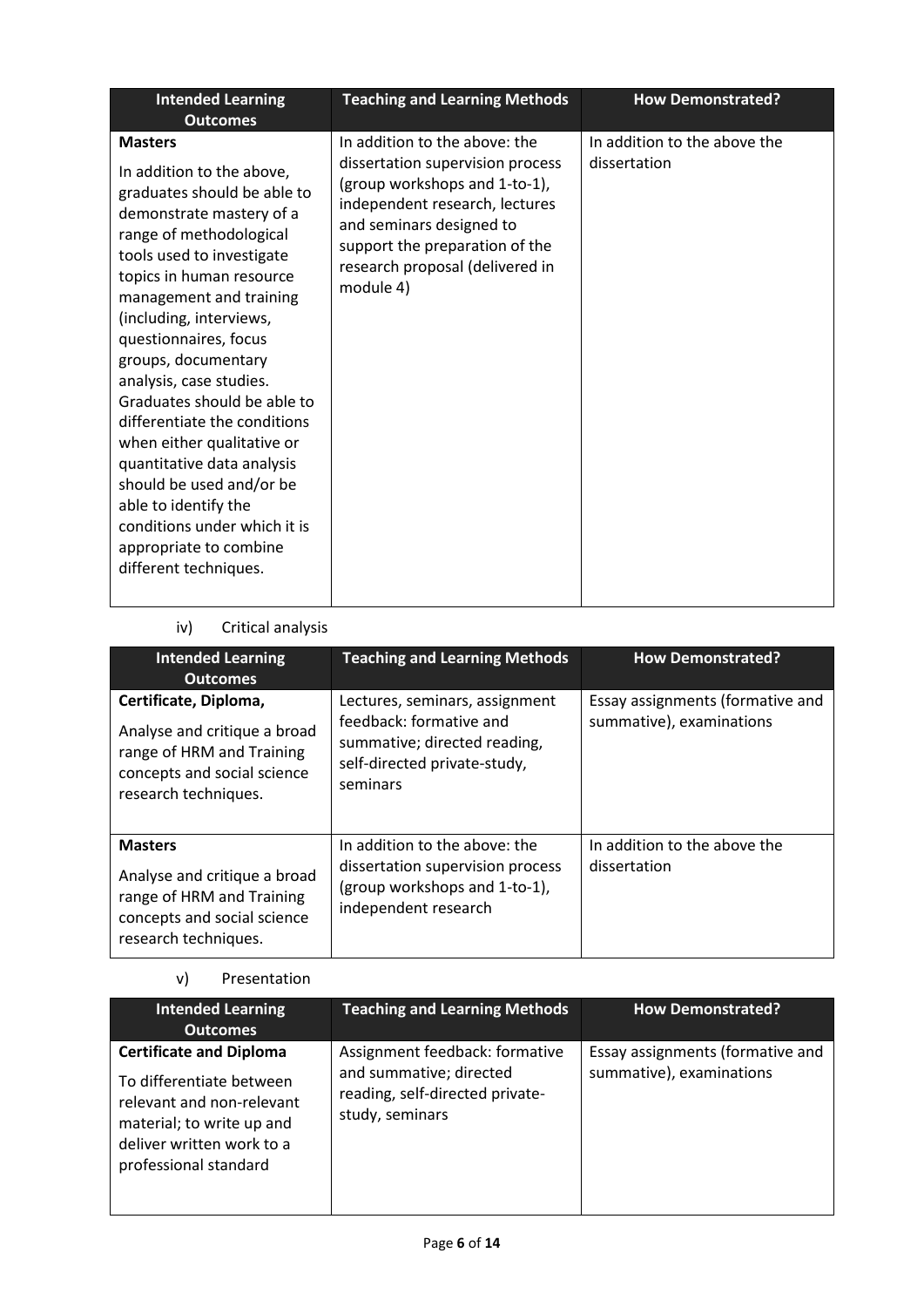| <b>Intended Learning</b><br><b>Outcomes</b>                                                                                                                                                                                                                                                                                                                                                                                                                                                                                                                                                   | <b>Teaching and Learning Methods</b>                                                                                                                                                                                                               | <b>How Demonstrated?</b>                     |
|-----------------------------------------------------------------------------------------------------------------------------------------------------------------------------------------------------------------------------------------------------------------------------------------------------------------------------------------------------------------------------------------------------------------------------------------------------------------------------------------------------------------------------------------------------------------------------------------------|----------------------------------------------------------------------------------------------------------------------------------------------------------------------------------------------------------------------------------------------------|----------------------------------------------|
| <b>Masters</b><br>In addition to the above,<br>graduates should be able to<br>demonstrate mastery of a<br>range of methodological<br>tools used to investigate<br>topics in human resource<br>management and training<br>(including, interviews,<br>questionnaires, focus<br>groups, documentary<br>analysis, case studies.<br>Graduates should be able to<br>differentiate the conditions<br>when either qualitative or<br>quantitative data analysis<br>should be used and/or be<br>able to identify the<br>conditions under which it is<br>appropriate to combine<br>different techniques. | In addition to the above: the<br>dissertation supervision process<br>(group workshops and 1-to-1),<br>independent research, lectures<br>and seminars designed to<br>support the preparation of the<br>research proposal (delivered in<br>module 4) | In addition to the above the<br>dissertation |

## iv) Critical analysis

| <b>Intended Learning</b><br><b>Outcomes</b>                                                                                               | <b>Teaching and Learning Methods</b>                                                                                                  | <b>How Demonstrated?</b>                                     |
|-------------------------------------------------------------------------------------------------------------------------------------------|---------------------------------------------------------------------------------------------------------------------------------------|--------------------------------------------------------------|
| Certificate, Diploma,<br>Analyse and critique a broad<br>range of HRM and Training<br>concepts and social science<br>research techniques. | Lectures, seminars, assignment<br>feedback: formative and<br>summative; directed reading,<br>self-directed private-study,<br>seminars | Essay assignments (formative and<br>summative), examinations |
| <b>Masters</b><br>Analyse and critique a broad<br>range of HRM and Training<br>concepts and social science<br>research techniques.        | In addition to the above: the<br>dissertation supervision process<br>(group workshops and 1-to-1),<br>independent research            | In addition to the above the<br>dissertation                 |

### v) Presentation

| <b>Intended Learning</b><br><b>Outcomes</b>                                                                                                                                | <b>Teaching and Learning Methods</b>                                                                            | <b>How Demonstrated?</b>                                     |
|----------------------------------------------------------------------------------------------------------------------------------------------------------------------------|-----------------------------------------------------------------------------------------------------------------|--------------------------------------------------------------|
| <b>Certificate and Diploma</b><br>To differentiate between<br>relevant and non-relevant<br>material; to write up and<br>deliver written work to a<br>professional standard | Assignment feedback: formative<br>and summative; directed<br>reading, self-directed private-<br>study, seminars | Essay assignments (formative and<br>summative), examinations |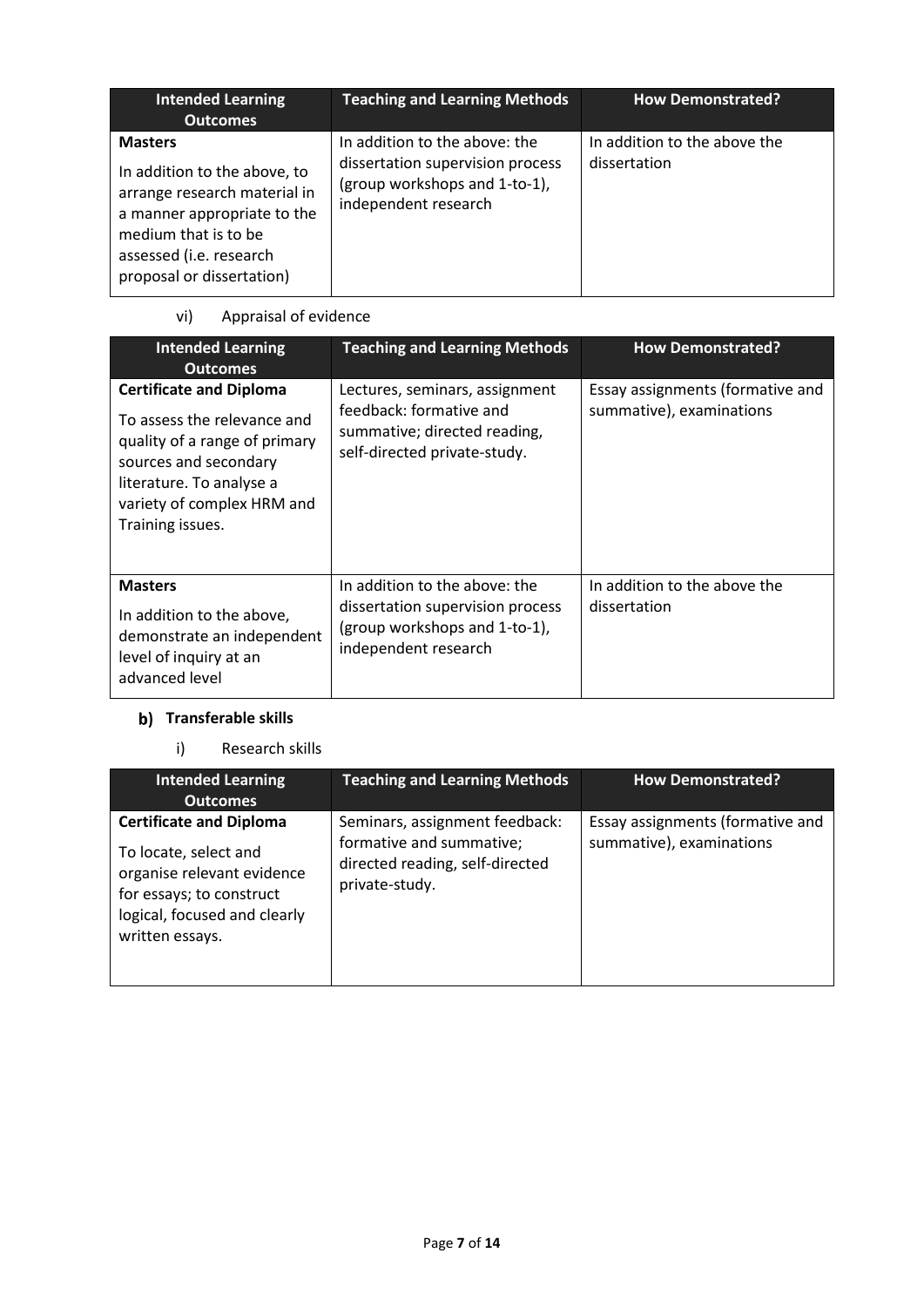| <b>Intended Learning</b><br><b>Outcomes</b>                                                                                                                                                   | <b>Teaching and Learning Methods</b>                                                                                       | <b>How Demonstrated?</b>                     |
|-----------------------------------------------------------------------------------------------------------------------------------------------------------------------------------------------|----------------------------------------------------------------------------------------------------------------------------|----------------------------------------------|
| <b>Masters</b><br>In addition to the above, to<br>arrange research material in<br>a manner appropriate to the<br>medium that is to be<br>assessed (i.e. research<br>proposal or dissertation) | In addition to the above: the<br>dissertation supervision process<br>(group workshops and 1-to-1),<br>independent research | In addition to the above the<br>dissertation |

## vi) Appraisal of evidence

| <b>Intended Learning</b><br><b>Outcomes</b>                                                                                                                                                           | <b>Teaching and Learning Methods</b>                                                                                       | <b>How Demonstrated?</b>                                     |
|-------------------------------------------------------------------------------------------------------------------------------------------------------------------------------------------------------|----------------------------------------------------------------------------------------------------------------------------|--------------------------------------------------------------|
| <b>Certificate and Diploma</b><br>To assess the relevance and<br>quality of a range of primary<br>sources and secondary<br>literature. To analyse a<br>variety of complex HRM and<br>Training issues. | Lectures, seminars, assignment<br>feedback: formative and<br>summative; directed reading,<br>self-directed private-study.  | Essay assignments (formative and<br>summative), examinations |
| <b>Masters</b><br>In addition to the above,<br>demonstrate an independent<br>level of inquiry at an<br>advanced level                                                                                 | In addition to the above: the<br>dissertation supervision process<br>(group workshops and 1-to-1),<br>independent research | In addition to the above the<br>dissertation                 |

## **b)** Transferable skills

## i) Research skills

| <b>Intended Learning</b><br><b>Outcomes</b>                                                                                                                          | <b>Teaching and Learning Methods</b>                                                                            | <b>How Demonstrated?</b>                                     |
|----------------------------------------------------------------------------------------------------------------------------------------------------------------------|-----------------------------------------------------------------------------------------------------------------|--------------------------------------------------------------|
| <b>Certificate and Diploma</b><br>To locate, select and<br>organise relevant evidence<br>for essays; to construct<br>logical, focused and clearly<br>written essays. | Seminars, assignment feedback:<br>formative and summative;<br>directed reading, self-directed<br>private-study. | Essay assignments (formative and<br>summative), examinations |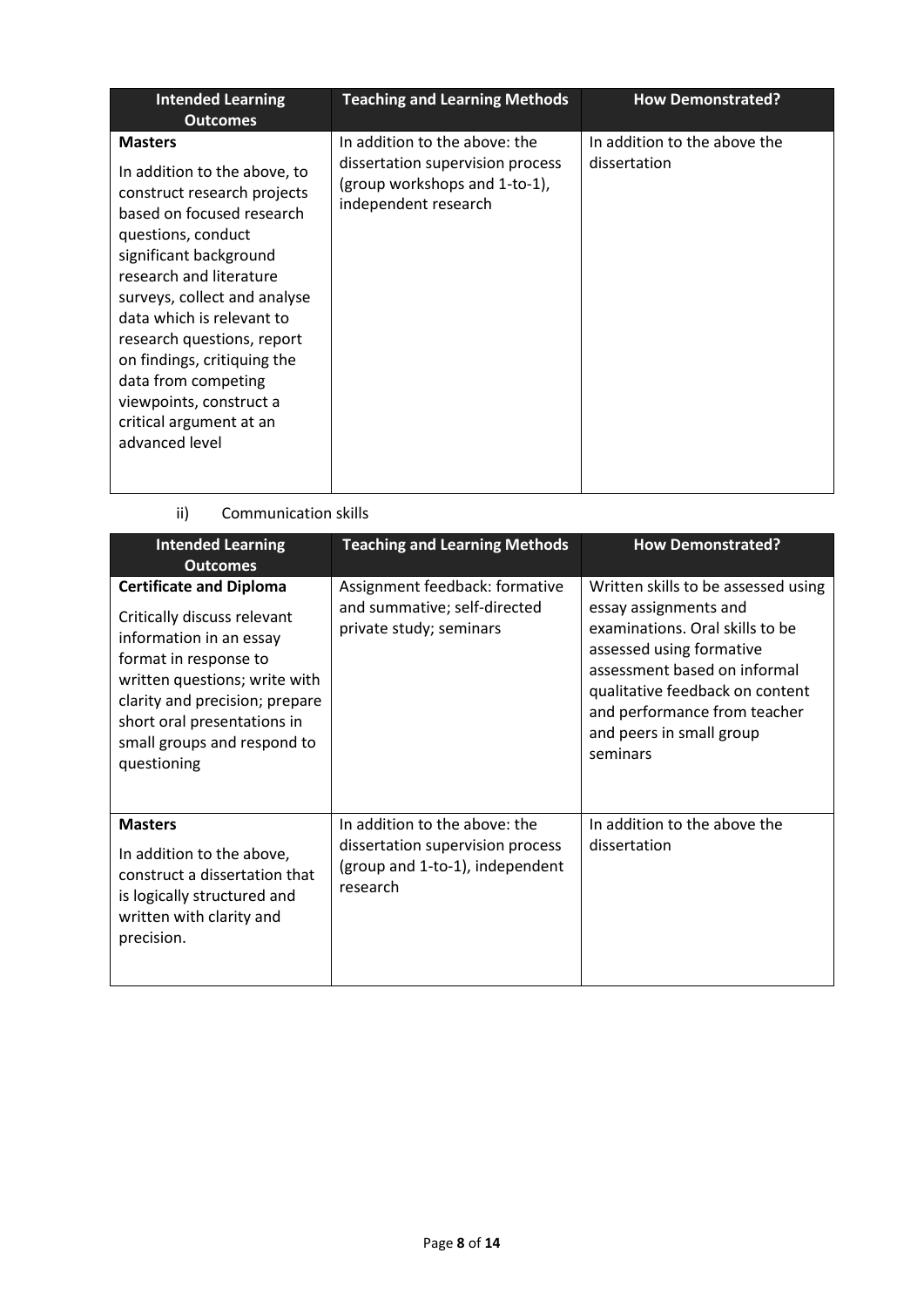| <b>Intended Learning</b><br><b>Outcomes</b>                                                                                                                                                                                                                                                                                                                                                                    | <b>Teaching and Learning Methods</b>                                                                                       | <b>How Demonstrated?</b>                     |
|----------------------------------------------------------------------------------------------------------------------------------------------------------------------------------------------------------------------------------------------------------------------------------------------------------------------------------------------------------------------------------------------------------------|----------------------------------------------------------------------------------------------------------------------------|----------------------------------------------|
| <b>Masters</b><br>In addition to the above, to<br>construct research projects<br>based on focused research<br>questions, conduct<br>significant background<br>research and literature<br>surveys, collect and analyse<br>data which is relevant to<br>research questions, report<br>on findings, critiquing the<br>data from competing<br>viewpoints, construct a<br>critical argument at an<br>advanced level | In addition to the above: the<br>dissertation supervision process<br>(group workshops and 1-to-1),<br>independent research | In addition to the above the<br>dissertation |

ii) Communication skills

| <b>Intended Learning</b><br><b>Outcomes</b>                                                                                                                                                                                                                       | <b>Teaching and Learning Methods</b>                                                                             | <b>How Demonstrated?</b>                                                                                                                                                                                                                                               |
|-------------------------------------------------------------------------------------------------------------------------------------------------------------------------------------------------------------------------------------------------------------------|------------------------------------------------------------------------------------------------------------------|------------------------------------------------------------------------------------------------------------------------------------------------------------------------------------------------------------------------------------------------------------------------|
| <b>Certificate and Diploma</b><br>Critically discuss relevant<br>information in an essay<br>format in response to<br>written questions; write with<br>clarity and precision; prepare<br>short oral presentations in<br>small groups and respond to<br>questioning | Assignment feedback: formative<br>and summative; self-directed<br>private study; seminars                        | Written skills to be assessed using<br>essay assignments and<br>examinations. Oral skills to be<br>assessed using formative<br>assessment based on informal<br>qualitative feedback on content<br>and performance from teacher<br>and peers in small group<br>seminars |
| <b>Masters</b><br>In addition to the above,<br>construct a dissertation that<br>is logically structured and<br>written with clarity and<br>precision.                                                                                                             | In addition to the above: the<br>dissertation supervision process<br>(group and 1-to-1), independent<br>research | In addition to the above the<br>dissertation                                                                                                                                                                                                                           |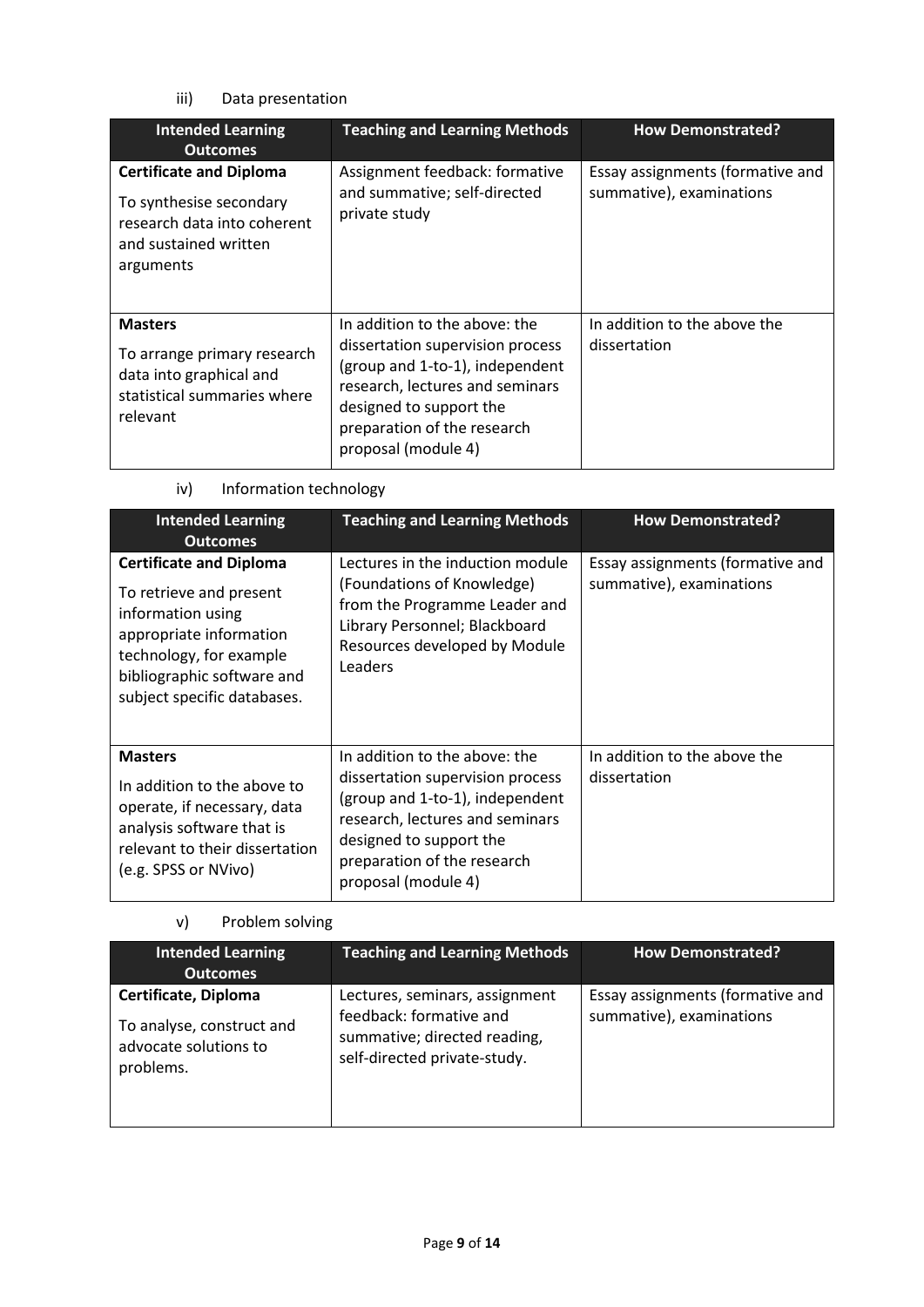### iii) Data presentation

| <b>Intended Learning</b><br><b>Outcomes</b>                                                                                    | <b>Teaching and Learning Methods</b>                                                                                                                                                                                     | <b>How Demonstrated?</b>                                     |
|--------------------------------------------------------------------------------------------------------------------------------|--------------------------------------------------------------------------------------------------------------------------------------------------------------------------------------------------------------------------|--------------------------------------------------------------|
| <b>Certificate and Diploma</b><br>To synthesise secondary<br>research data into coherent<br>and sustained written<br>arguments | Assignment feedback: formative<br>and summative; self-directed<br>private study                                                                                                                                          | Essay assignments (formative and<br>summative), examinations |
| <b>Masters</b><br>To arrange primary research<br>data into graphical and<br>statistical summaries where<br>relevant            | In addition to the above: the<br>dissertation supervision process<br>(group and 1-to-1), independent<br>research, lectures and seminars<br>designed to support the<br>preparation of the research<br>proposal (module 4) | In addition to the above the<br>dissertation                 |

| iv) | Information technology |
|-----|------------------------|
|-----|------------------------|

| <b>Intended Learning</b><br><b>Outcomes</b>                                                                                                                                                       | <b>Teaching and Learning Methods</b>                                                                                                                                                                                     | <b>How Demonstrated?</b>                                     |
|---------------------------------------------------------------------------------------------------------------------------------------------------------------------------------------------------|--------------------------------------------------------------------------------------------------------------------------------------------------------------------------------------------------------------------------|--------------------------------------------------------------|
| <b>Certificate and Diploma</b><br>To retrieve and present<br>information using<br>appropriate information<br>technology, for example<br>bibliographic software and<br>subject specific databases. | Lectures in the induction module<br>(Foundations of Knowledge)<br>from the Programme Leader and<br>Library Personnel; Blackboard<br>Resources developed by Module<br>Leaders                                             | Essay assignments (formative and<br>summative), examinations |
| <b>Masters</b><br>In addition to the above to<br>operate, if necessary, data<br>analysis software that is<br>relevant to their dissertation<br>(e.g. SPSS or NVivo)                               | In addition to the above: the<br>dissertation supervision process<br>(group and 1-to-1), independent<br>research, lectures and seminars<br>designed to support the<br>preparation of the research<br>proposal (module 4) | In addition to the above the<br>dissertation                 |

## v) Problem solving

| <b>Intended Learning</b><br><b>Outcomes</b>                                             | <b>Teaching and Learning Methods</b>                                                                                      | <b>How Demonstrated?</b>                                     |
|-----------------------------------------------------------------------------------------|---------------------------------------------------------------------------------------------------------------------------|--------------------------------------------------------------|
| Certificate, Diploma<br>To analyse, construct and<br>advocate solutions to<br>problems. | Lectures, seminars, assignment<br>feedback: formative and<br>summative; directed reading,<br>self-directed private-study. | Essay assignments (formative and<br>summative), examinations |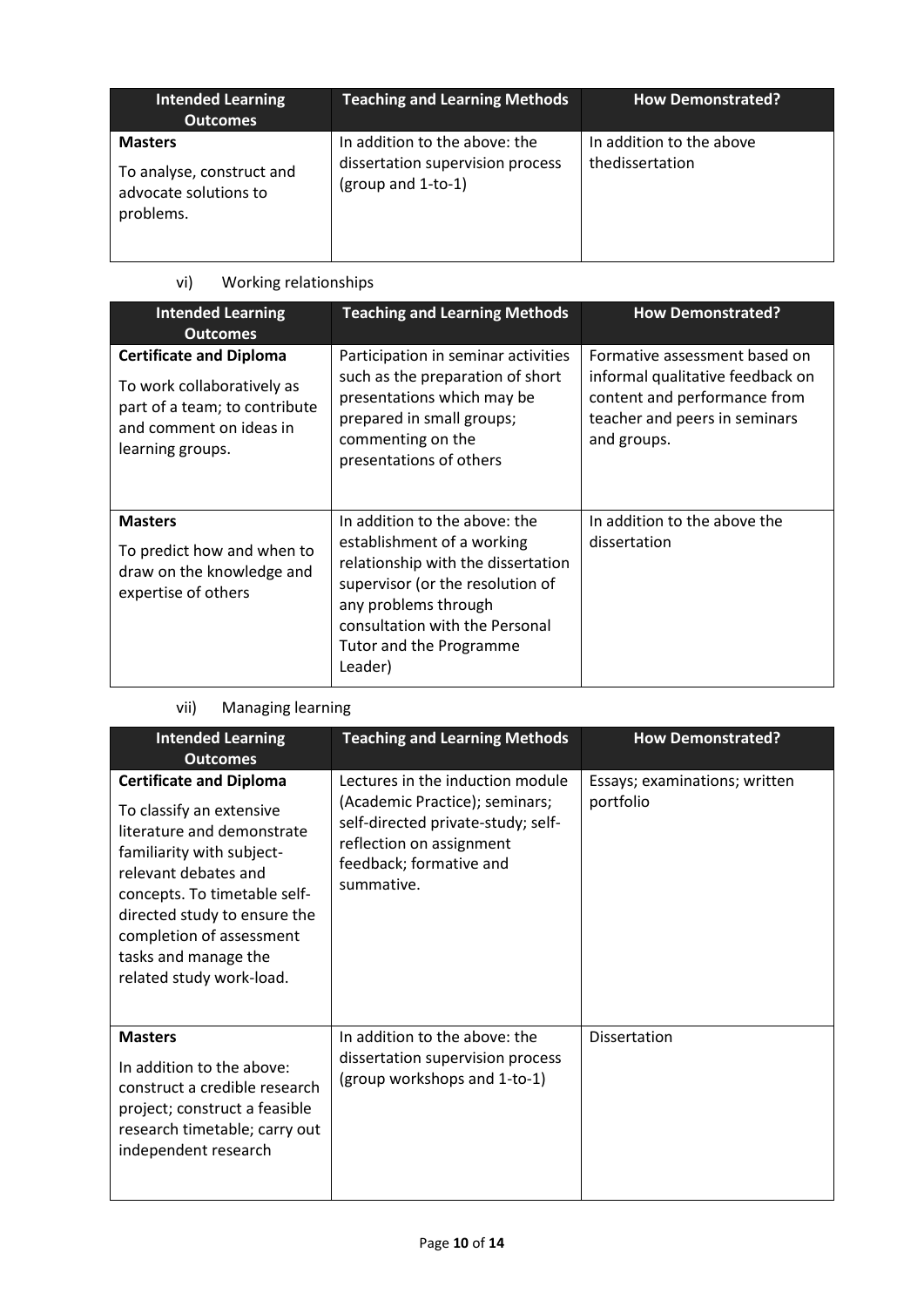| <b>Intended Learning</b><br><b>Outcomes</b>                                       | <b>Teaching and Learning Methods</b>                                                    | <b>How Demonstrated?</b>                    |
|-----------------------------------------------------------------------------------|-----------------------------------------------------------------------------------------|---------------------------------------------|
| <b>Masters</b><br>To analyse, construct and<br>advocate solutions to<br>problems. | In addition to the above: the<br>dissertation supervision process<br>(group and 1-to-1) | In addition to the above<br>thedissertation |

## vi) Working relationships

| <b>Intended Learning</b><br><b>Outcomes</b>                                                                                                  | <b>Teaching and Learning Methods</b>                                                                                                                                                                                                  | <b>How Demonstrated?</b>                                                                                                                          |
|----------------------------------------------------------------------------------------------------------------------------------------------|---------------------------------------------------------------------------------------------------------------------------------------------------------------------------------------------------------------------------------------|---------------------------------------------------------------------------------------------------------------------------------------------------|
| <b>Certificate and Diploma</b><br>To work collaboratively as<br>part of a team; to contribute<br>and comment on ideas in<br>learning groups. | Participation in seminar activities<br>such as the preparation of short<br>presentations which may be<br>prepared in small groups;<br>commenting on the<br>presentations of others                                                    | Formative assessment based on<br>informal qualitative feedback on<br>content and performance from<br>teacher and peers in seminars<br>and groups. |
| <b>Masters</b><br>To predict how and when to<br>draw on the knowledge and<br>expertise of others                                             | In addition to the above: the<br>establishment of a working<br>relationship with the dissertation<br>supervisor (or the resolution of<br>any problems through<br>consultation with the Personal<br>Tutor and the Programme<br>Leader) | In addition to the above the<br>dissertation                                                                                                      |

## vii) Managing learning

| <b>Intended Learning</b><br><b>Outcomes</b>                                                                                                                                                                                                                                                   | <b>Teaching and Learning Methods</b>                                                                                                                                          | <b>How Demonstrated?</b>                   |
|-----------------------------------------------------------------------------------------------------------------------------------------------------------------------------------------------------------------------------------------------------------------------------------------------|-------------------------------------------------------------------------------------------------------------------------------------------------------------------------------|--------------------------------------------|
| <b>Certificate and Diploma</b><br>To classify an extensive<br>literature and demonstrate<br>familiarity with subject-<br>relevant debates and<br>concepts. To timetable self-<br>directed study to ensure the<br>completion of assessment<br>tasks and manage the<br>related study work-load. | Lectures in the induction module<br>(Academic Practice); seminars;<br>self-directed private-study; self-<br>reflection on assignment<br>feedback; formative and<br>summative. | Essays; examinations; written<br>portfolio |
| <b>Masters</b><br>In addition to the above:<br>construct a credible research<br>project; construct a feasible<br>research timetable; carry out<br>independent research                                                                                                                        | In addition to the above: the<br>dissertation supervision process<br>(group workshops and 1-to-1)                                                                             | <b>Dissertation</b>                        |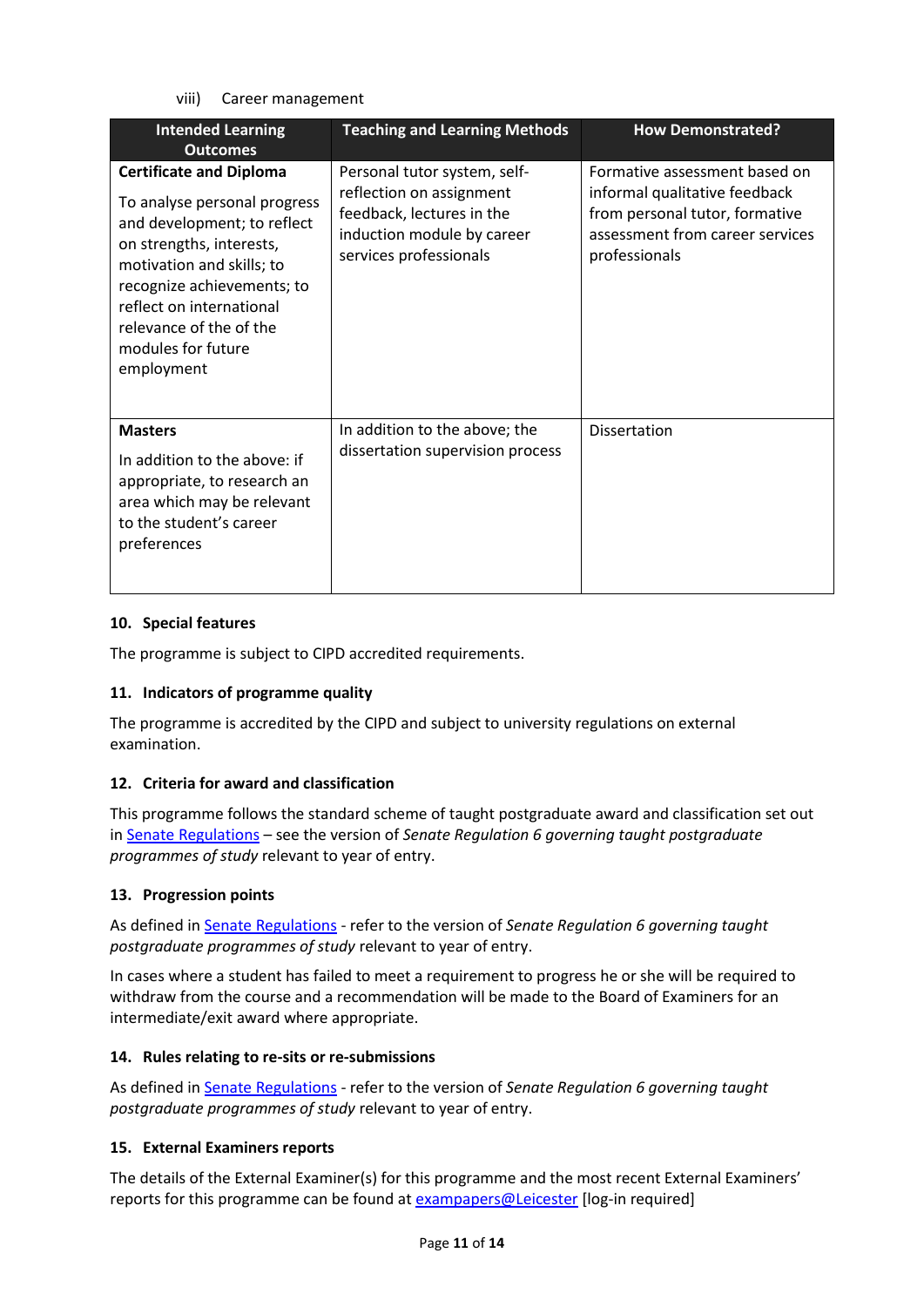viii) Career management

| <b>Intended Learning</b><br><b>Outcomes</b>                                                                                                                                                                                                                                     | <b>Teaching and Learning Methods</b>                                                                                                          | <b>How Demonstrated?</b>                                                                                                                             |
|---------------------------------------------------------------------------------------------------------------------------------------------------------------------------------------------------------------------------------------------------------------------------------|-----------------------------------------------------------------------------------------------------------------------------------------------|------------------------------------------------------------------------------------------------------------------------------------------------------|
| <b>Certificate and Diploma</b><br>To analyse personal progress<br>and development; to reflect<br>on strengths, interests,<br>motivation and skills; to<br>recognize achievements; to<br>reflect on international<br>relevance of the of the<br>modules for future<br>employment | Personal tutor system, self-<br>reflection on assignment<br>feedback, lectures in the<br>induction module by career<br>services professionals | Formative assessment based on<br>informal qualitative feedback<br>from personal tutor, formative<br>assessment from career services<br>professionals |
| <b>Masters</b><br>In addition to the above: if<br>appropriate, to research an<br>area which may be relevant<br>to the student's career<br>preferences                                                                                                                           | In addition to the above; the<br>dissertation supervision process                                                                             | <b>Dissertation</b>                                                                                                                                  |

### **10. Special features**

The programme is subject to CIPD accredited requirements.

### **11. Indicators of programme quality**

The programme is accredited by the CIPD and subject to university regulations on external examination.

## **12. Criteria for award and classification**

This programme follows the standard scheme of taught postgraduate award and classification set out i[n Senate Regulations](http://www.le.ac.uk/senate-regulations) – see the version of *Senate Regulation 6 governing taught postgraduate programmes of study* relevant to year of entry.

### **13. Progression points**

As defined i[n Senate Regulations](http://www.le.ac.uk/senate-regulation6) - refer to the version of *Senate Regulation 6 governing taught postgraduate programmes of study* relevant to year of entry.

In cases where a student has failed to meet a requirement to progress he or she will be required to withdraw from the course and a recommendation will be made to the Board of Examiners for an intermediate/exit award where appropriate.

### **14. Rules relating to re-sits or re-submissions**

As defined i[n Senate Regulations](http://www.le.ac.uk/senate-regulation6) - refer to the version of *Senate Regulation 6 governing taught postgraduate programmes of study* relevant to year of entry.

### **15. External Examiners reports**

The details of the External Examiner(s) for this programme and the most recent External Examiners' reports for this programme can be found at [exampapers@Leicester](https://exampapers.le.ac.uk/) [log-in required]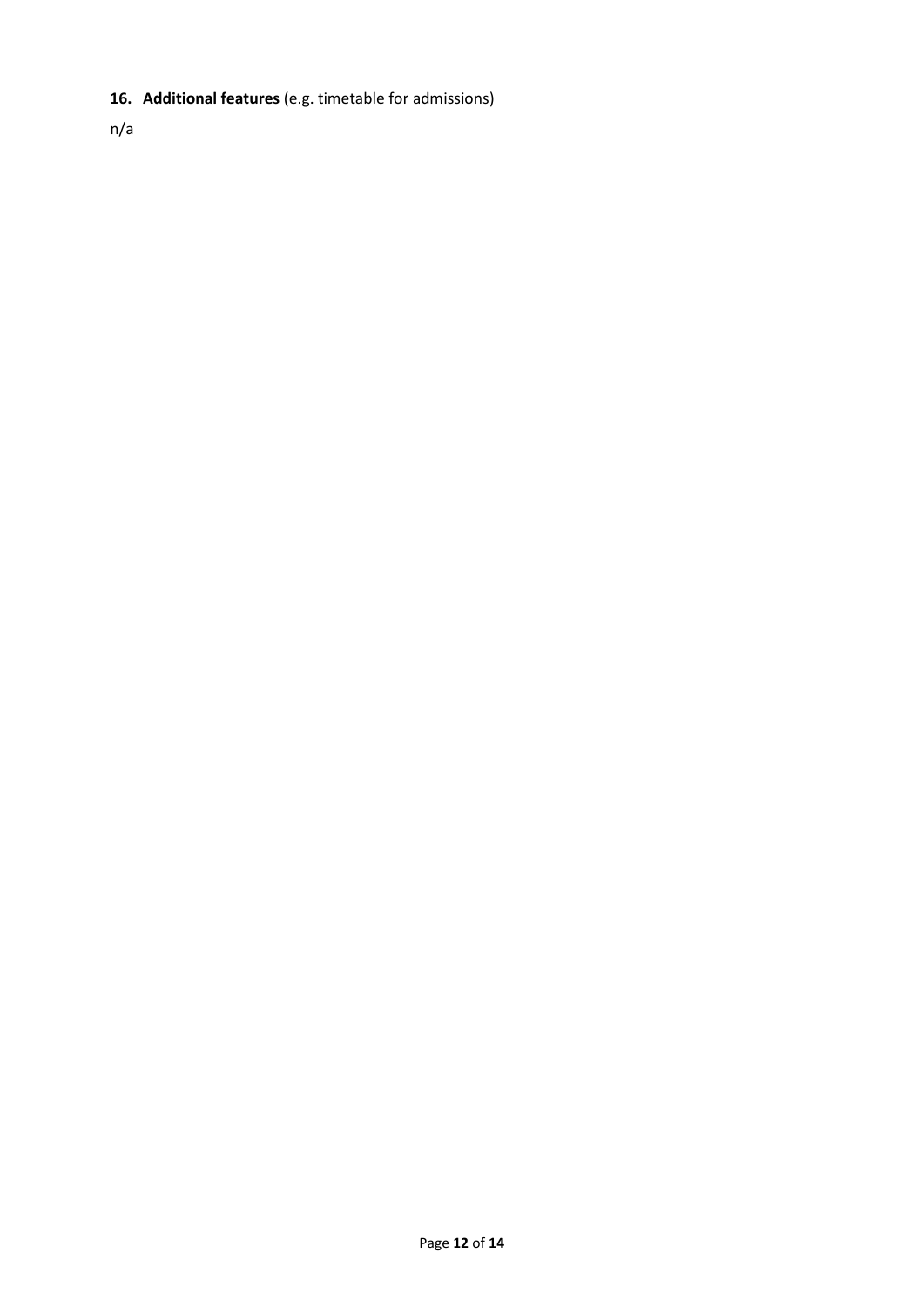## **16. Additional features** (e.g. timetable for admissions)

n/a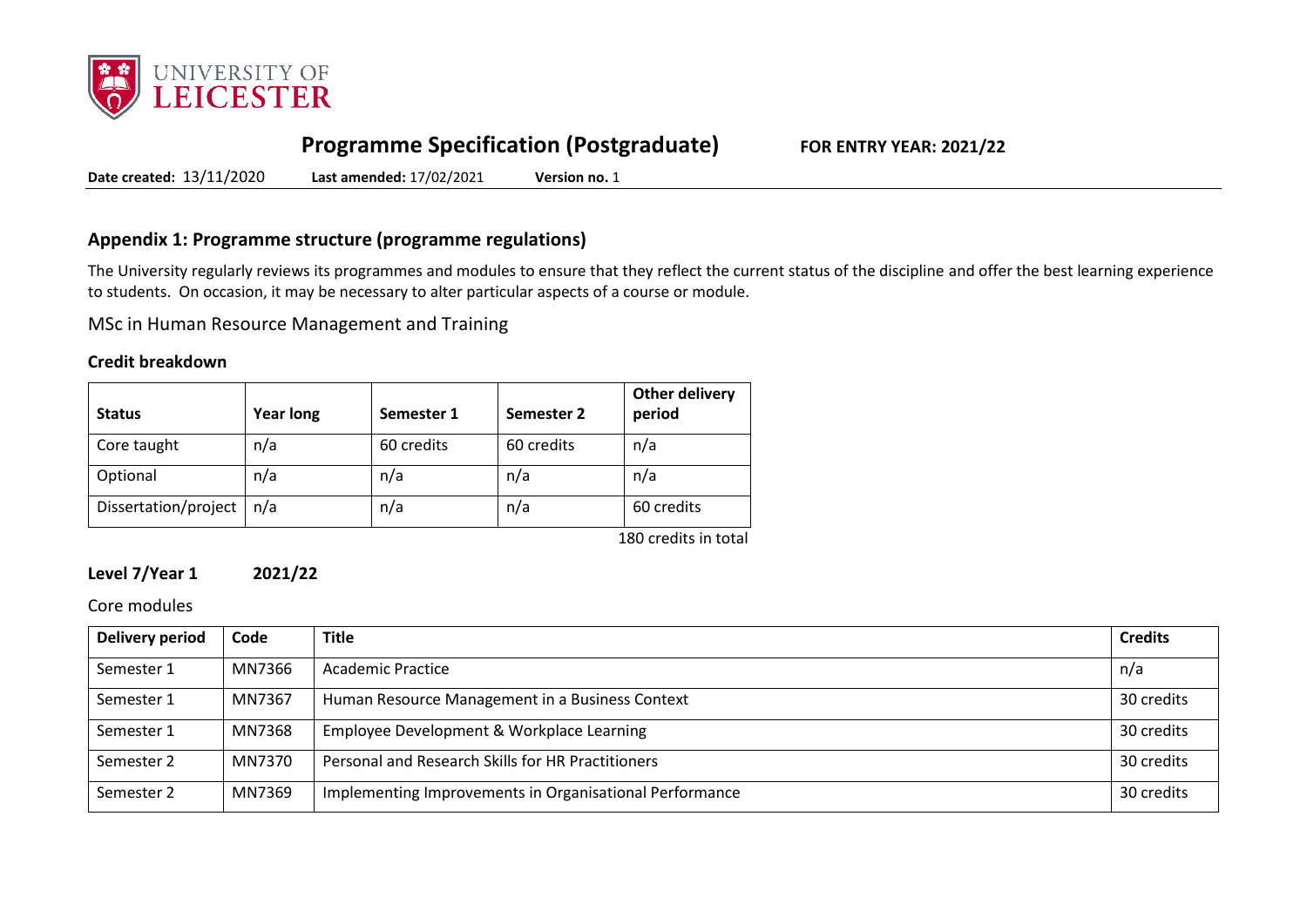

# **Programme Specification (Postgraduate) FOR ENTRY YEAR: 2021/22**

**Date created:** 13/11/2020 **Last amended:** 17/02/2021 **Version no.** 1

## **Appendix 1: Programme structure (programme regulations)**

The University regularly reviews its programmes and modules to ensure that they reflect the current status of the discipline and offer the best learning experience to students. On occasion, it may be necessary to alter particular aspects of a course or module.

MSc in Human Resource Management and Training

### **Credit breakdown**

| <b>Status</b>        | <b>Year long</b> | Semester 1 | Semester 2 | <b>Other delivery</b><br>period |
|----------------------|------------------|------------|------------|---------------------------------|
| Core taught          | n/a              | 60 credits | 60 credits | n/a                             |
| Optional             | n/a              | n/a        | n/a        | n/a                             |
| Dissertation/project | n/a              | n/a        | n/a        | 60 credits                      |
|                      |                  |            |            | 180 credits in total            |

### **Level 7/Year 1 2021/22**

Core modules

| Delivery period | Code   | <b>Title</b>                                            | <b>Credits</b> |
|-----------------|--------|---------------------------------------------------------|----------------|
| Semester 1      | MN7366 | Academic Practice                                       | n/a            |
| Semester 1      | MN7367 | Human Resource Management in a Business Context         | 30 credits     |
| Semester 1      | MN7368 | Employee Development & Workplace Learning               | 30 credits     |
| Semester 2      | MN7370 | Personal and Research Skills for HR Practitioners       | 30 credits     |
| Semester 2      | MN7369 | Implementing Improvements in Organisational Performance | 30 credits     |